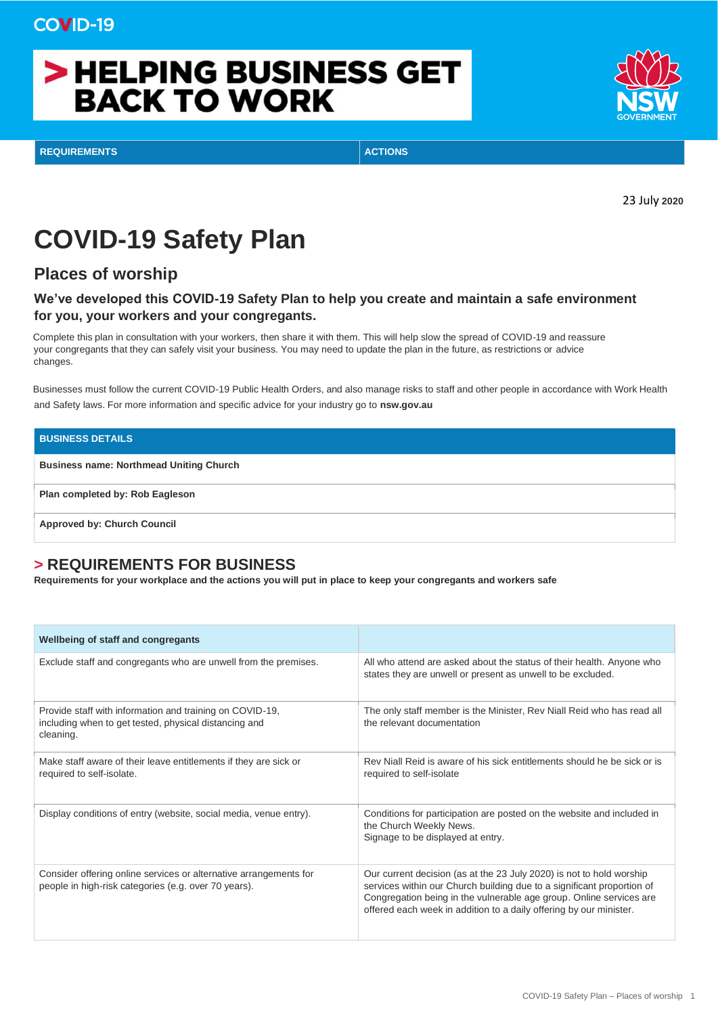# > HELPING BUSINESS GET **BACK TO WORK**



**REQUIREMENTS ACTIONS**

23 July **2020**

## **COVID-19 Safety Plan**

### **Places of worship**

#### **We've developed this COVID-19 Safety Plan to help you create and maintain a safe environment for you, your workers and your congregants.**

Complete this plan in consultation with your workers, then share it with them. This will help slow the spread of COVID-19 and reassure your congregants that they can safely visit your business. You may need to update the plan in the future, as restrictions or advice changes.

Businesses must follow the current COVID-19 Public Health Orders, and also manage risks to staff and other people in accordance with Work Health and Safety laws. For more information and specific advice for your industry go to **nsw.gov.au** 

## **BUSINESS DETAILS Business name: Northmead Uniting Church Plan completed by: Rob Eagleson Approved by: Church Council**

### **> REQUIREMENTS FOR BUSINESS**

**Requirements for your workplace and the actions you will put in place to keep your congregants and workers safe** 

| Wellbeing of staff and congregants                                                                                             |                                                                                                                                                                                                                                                                                             |
|--------------------------------------------------------------------------------------------------------------------------------|---------------------------------------------------------------------------------------------------------------------------------------------------------------------------------------------------------------------------------------------------------------------------------------------|
| Exclude staff and congregants who are unwell from the premises.                                                                | All who attend are asked about the status of their health. Anyone who<br>states they are unwell or present as unwell to be excluded.                                                                                                                                                        |
| Provide staff with information and training on COVID-19,<br>including when to get tested, physical distancing and<br>cleaning. | The only staff member is the Minister, Rev Niall Reid who has read all<br>the relevant documentation                                                                                                                                                                                        |
| Make staff aware of their leave entitlements if they are sick or<br>required to self-isolate.                                  | Rev Niall Reid is aware of his sick entitlements should he be sick or is<br>required to self-isolate                                                                                                                                                                                        |
| Display conditions of entry (website, social media, venue entry).                                                              | Conditions for participation are posted on the website and included in<br>the Church Weekly News.<br>Signage to be displayed at entry.                                                                                                                                                      |
| Consider offering online services or alternative arrangements for<br>people in high-risk categories (e.g. over 70 years).      | Our current decision (as at the 23 July 2020) is not to hold worship<br>services within our Church building due to a significant proportion of<br>Congregation being in the vulnerable age group. Online services are<br>offered each week in addition to a daily offering by our minister. |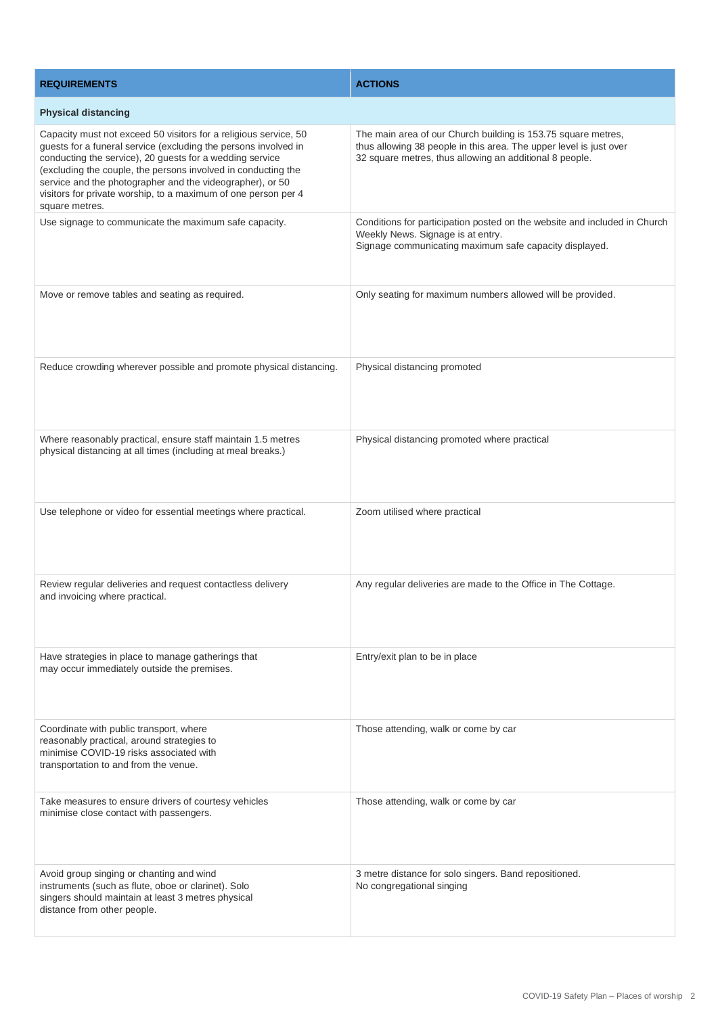| <b>REQUIREMENTS</b>                                                                                                                                                                                                                                                                                                                                                                                               | <b>ACTIONS</b>                                                                                                                                                                                 |  |
|-------------------------------------------------------------------------------------------------------------------------------------------------------------------------------------------------------------------------------------------------------------------------------------------------------------------------------------------------------------------------------------------------------------------|------------------------------------------------------------------------------------------------------------------------------------------------------------------------------------------------|--|
| <b>Physical distancing</b>                                                                                                                                                                                                                                                                                                                                                                                        |                                                                                                                                                                                                |  |
| Capacity must not exceed 50 visitors for a religious service, 50<br>guests for a funeral service (excluding the persons involved in<br>conducting the service), 20 guests for a wedding service<br>(excluding the couple, the persons involved in conducting the<br>service and the photographer and the videographer), or 50<br>visitors for private worship, to a maximum of one person per 4<br>square metres. | The main area of our Church building is 153.75 square metres,<br>thus allowing 38 people in this area. The upper level is just over<br>32 square metres, thus allowing an additional 8 people. |  |
| Use signage to communicate the maximum safe capacity.                                                                                                                                                                                                                                                                                                                                                             | Conditions for participation posted on the website and included in Church<br>Weekly News. Signage is at entry.<br>Signage communicating maximum safe capacity displayed.                       |  |
| Move or remove tables and seating as required.                                                                                                                                                                                                                                                                                                                                                                    | Only seating for maximum numbers allowed will be provided.                                                                                                                                     |  |
| Reduce crowding wherever possible and promote physical distancing.                                                                                                                                                                                                                                                                                                                                                | Physical distancing promoted                                                                                                                                                                   |  |
| Where reasonably practical, ensure staff maintain 1.5 metres<br>physical distancing at all times (including at meal breaks.)                                                                                                                                                                                                                                                                                      | Physical distancing promoted where practical                                                                                                                                                   |  |
| Use telephone or video for essential meetings where practical.                                                                                                                                                                                                                                                                                                                                                    | Zoom utilised where practical                                                                                                                                                                  |  |
| Review regular deliveries and request contactless delivery<br>and invoicing where practical.                                                                                                                                                                                                                                                                                                                      | Any regular deliveries are made to the Office in The Cottage.                                                                                                                                  |  |
| Have strategies in place to manage gatherings that<br>may occur immediately outside the premises.                                                                                                                                                                                                                                                                                                                 | Entry/exit plan to be in place                                                                                                                                                                 |  |
| Coordinate with public transport, where<br>reasonably practical, around strategies to<br>minimise COVID-19 risks associated with<br>transportation to and from the venue.                                                                                                                                                                                                                                         | Those attending, walk or come by car                                                                                                                                                           |  |
| Take measures to ensure drivers of courtesy vehicles<br>minimise close contact with passengers.                                                                                                                                                                                                                                                                                                                   | Those attending, walk or come by car                                                                                                                                                           |  |
| Avoid group singing or chanting and wind<br>instruments (such as flute, oboe or clarinet). Solo<br>singers should maintain at least 3 metres physical<br>distance from other people.                                                                                                                                                                                                                              | 3 metre distance for solo singers. Band repositioned.<br>No congregational singing                                                                                                             |  |